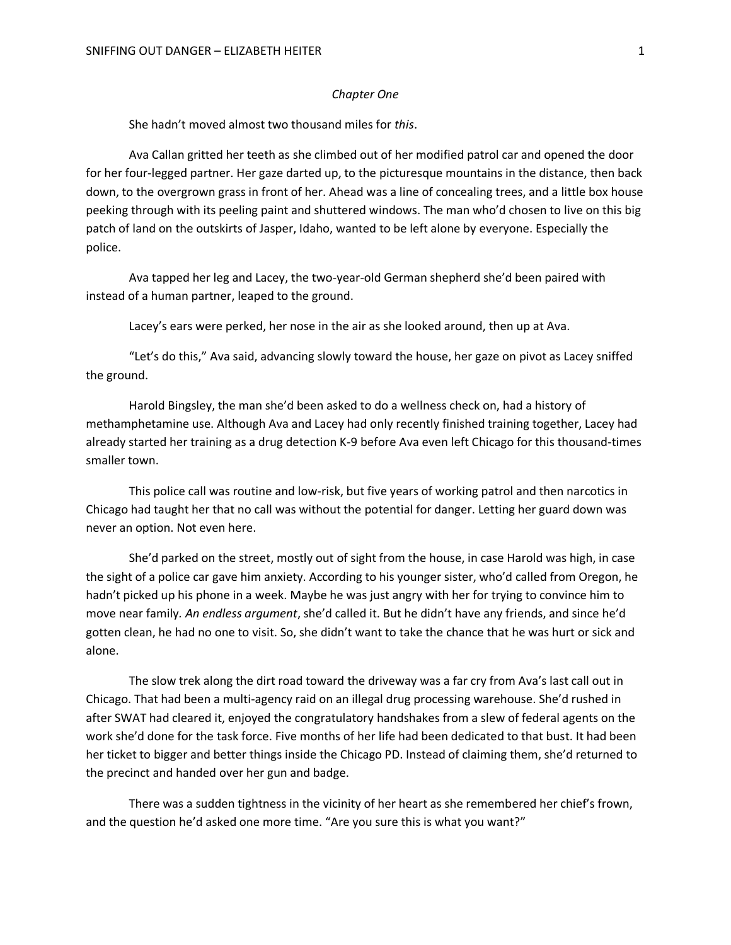## *Chapter One*

She hadn't moved almost two thousand miles for *this*.

Ava Callan gritted her teeth as she climbed out of her modified patrol car and opened the door for her four-legged partner. Her gaze darted up, to the picturesque mountains in the distance, then back down, to the overgrown grass in front of her. Ahead was a line of concealing trees, and a little box house peeking through with its peeling paint and shuttered windows. The man who'd chosen to live on this big patch of land on the outskirts of Jasper, Idaho, wanted to be left alone by everyone. Especially the police.

Ava tapped her leg and Lacey, the two-year-old German shepherd she'd been paired with instead of a human partner, leaped to the ground.

Lacey's ears were perked, her nose in the air as she looked around, then up at Ava.

"Let's do this," Ava said, advancing slowly toward the house, her gaze on pivot as Lacey sniffed the ground.

Harold Bingsley, the man she'd been asked to do a wellness check on, had a history of methamphetamine use. Although Ava and Lacey had only recently finished training together, Lacey had already started her training as a drug detection K-9 before Ava even left Chicago for this thousand-times smaller town.

This police call was routine and low-risk, but five years of working patrol and then narcotics in Chicago had taught her that no call was without the potential for danger. Letting her guard down was never an option. Not even here.

She'd parked on the street, mostly out of sight from the house, in case Harold was high, in case the sight of a police car gave him anxiety. According to his younger sister, who'd called from Oregon, he hadn't picked up his phone in a week. Maybe he was just angry with her for trying to convince him to move near family*. An endless argument*, she'd called it. But he didn't have any friends, and since he'd gotten clean, he had no one to visit. So, she didn't want to take the chance that he was hurt or sick and alone.

The slow trek along the dirt road toward the driveway was a far cry from Ava's last call out in Chicago. That had been a multi-agency raid on an illegal drug processing warehouse. She'd rushed in after SWAT had cleared it, enjoyed the congratulatory handshakes from a slew of federal agents on the work she'd done for the task force. Five months of her life had been dedicated to that bust. It had been her ticket to bigger and better things inside the Chicago PD. Instead of claiming them, she'd returned to the precinct and handed over her gun and badge.

There was a sudden tightness in the vicinity of her heart as she remembered her chief's frown, and the question he'd asked one more time. "Are you sure this is what you want?"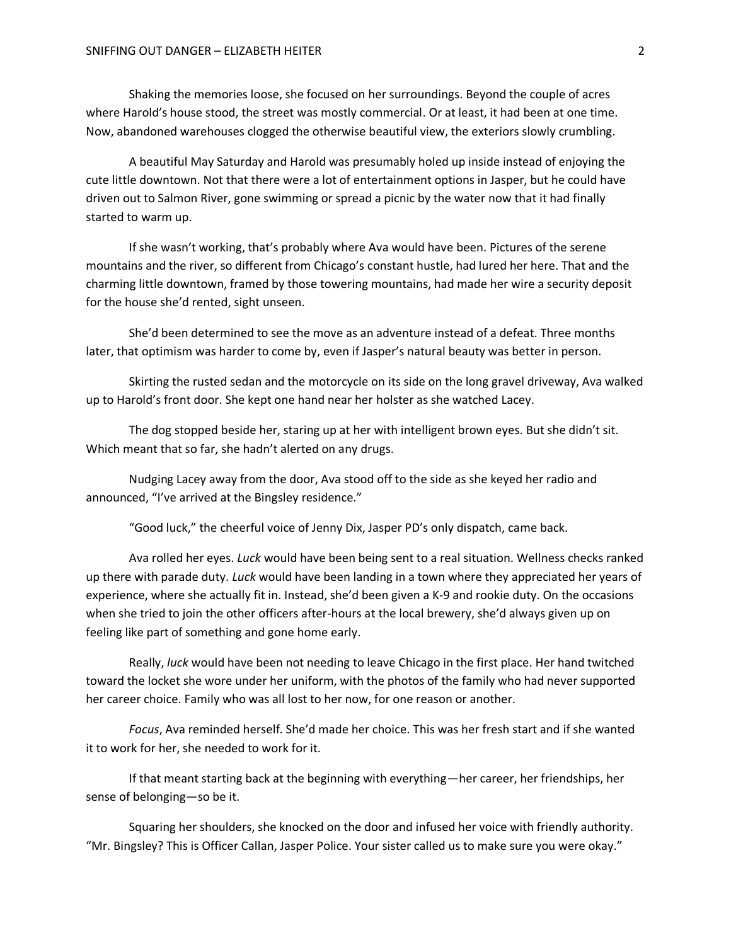Shaking the memories loose, she focused on her surroundings. Beyond the couple of acres where Harold's house stood, the street was mostly commercial. Or at least, it had been at one time. Now, abandoned warehouses clogged the otherwise beautiful view, the exteriors slowly crumbling.

A beautiful May Saturday and Harold was presumably holed up inside instead of enjoying the cute little downtown. Not that there were a lot of entertainment options in Jasper, but he could have driven out to Salmon River, gone swimming or spread a picnic by the water now that it had finally started to warm up.

If she wasn't working, that's probably where Ava would have been. Pictures of the serene mountains and the river, so different from Chicago's constant hustle, had lured her here. That and the charming little downtown, framed by those towering mountains, had made her wire a security deposit for the house she'd rented, sight unseen.

She'd been determined to see the move as an adventure instead of a defeat. Three months later, that optimism was harder to come by, even if Jasper's natural beauty was better in person.

Skirting the rusted sedan and the motorcycle on its side on the long gravel driveway, Ava walked up to Harold's front door. She kept one hand near her holster as she watched Lacey.

The dog stopped beside her, staring up at her with intelligent brown eyes. But she didn't sit. Which meant that so far, she hadn't alerted on any drugs.

Nudging Lacey away from the door, Ava stood off to the side as she keyed her radio and announced, "I've arrived at the Bingsley residence."

"Good luck," the cheerful voice of Jenny Dix, Jasper PD's only dispatch, came back.

Ava rolled her eyes. *Luck* would have been being sent to a real situation. Wellness checks ranked up there with parade duty. *Luck* would have been landing in a town where they appreciated her years of experience, where she actually fit in. Instead, she'd been given a K-9 and rookie duty. On the occasions when she tried to join the other officers after-hours at the local brewery, she'd always given up on feeling like part of something and gone home early.

Really, *luck* would have been not needing to leave Chicago in the first place. Her hand twitched toward the locket she wore under her uniform, with the photos of the family who had never supported her career choice. Family who was all lost to her now, for one reason or another.

*Focus*, Ava reminded herself. She'd made her choice. This was her fresh start and if she wanted it to work for her, she needed to work for it.

If that meant starting back at the beginning with everything—her career, her friendships, her sense of belonging—so be it.

Squaring her shoulders, she knocked on the door and infused her voice with friendly authority. "Mr. Bingsley? This is Officer Callan, Jasper Police. Your sister called us to make sure you were okay."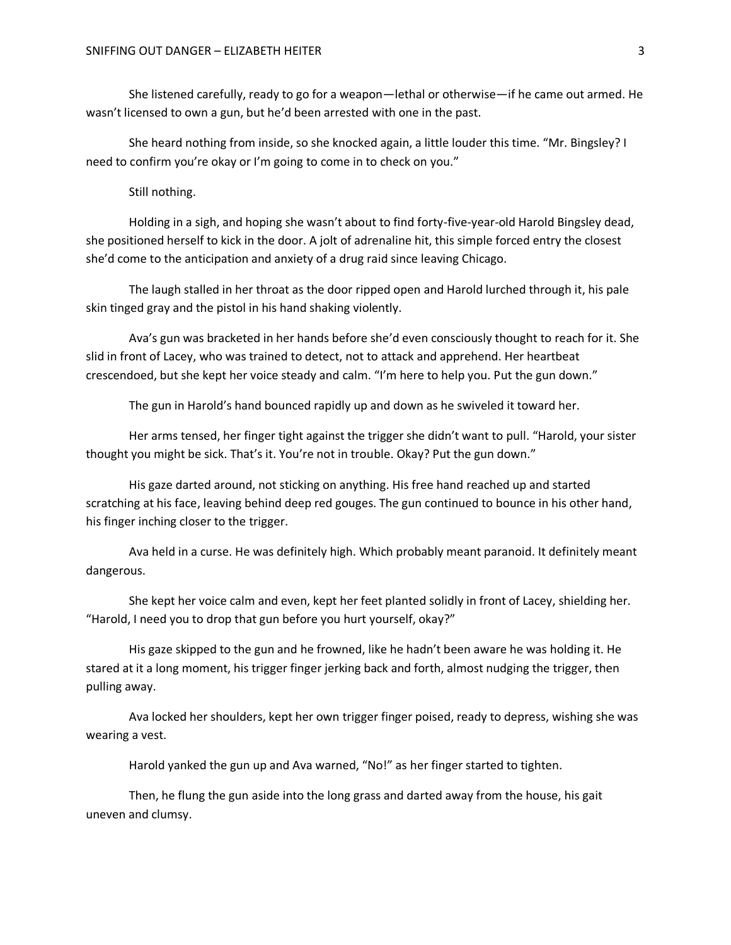She listened carefully, ready to go for a weapon—lethal or otherwise—if he came out armed. He wasn't licensed to own a gun, but he'd been arrested with one in the past.

She heard nothing from inside, so she knocked again, a little louder this time. "Mr. Bingsley? I need to confirm you're okay or I'm going to come in to check on you."

Still nothing.

Holding in a sigh, and hoping she wasn't about to find forty-five-year-old Harold Bingsley dead, she positioned herself to kick in the door. A jolt of adrenaline hit, this simple forced entry the closest she'd come to the anticipation and anxiety of a drug raid since leaving Chicago.

The laugh stalled in her throat as the door ripped open and Harold lurched through it, his pale skin tinged gray and the pistol in his hand shaking violently.

Ava's gun was bracketed in her hands before she'd even consciously thought to reach for it. She slid in front of Lacey, who was trained to detect, not to attack and apprehend. Her heartbeat crescendoed, but she kept her voice steady and calm. "I'm here to help you. Put the gun down."

The gun in Harold's hand bounced rapidly up and down as he swiveled it toward her.

Her arms tensed, her finger tight against the trigger she didn't want to pull. "Harold, your sister thought you might be sick. That's it. You're not in trouble. Okay? Put the gun down."

His gaze darted around, not sticking on anything. His free hand reached up and started scratching at his face, leaving behind deep red gouges. The gun continued to bounce in his other hand, his finger inching closer to the trigger.

Ava held in a curse. He was definitely high. Which probably meant paranoid. It definitely meant dangerous.

She kept her voice calm and even, kept her feet planted solidly in front of Lacey, shielding her. "Harold, I need you to drop that gun before you hurt yourself, okay?"

His gaze skipped to the gun and he frowned, like he hadn't been aware he was holding it. He stared at it a long moment, his trigger finger jerking back and forth, almost nudging the trigger, then pulling away.

Ava locked her shoulders, kept her own trigger finger poised, ready to depress, wishing she was wearing a vest.

Harold yanked the gun up and Ava warned, "No!" as her finger started to tighten.

Then, he flung the gun aside into the long grass and darted away from the house, his gait uneven and clumsy.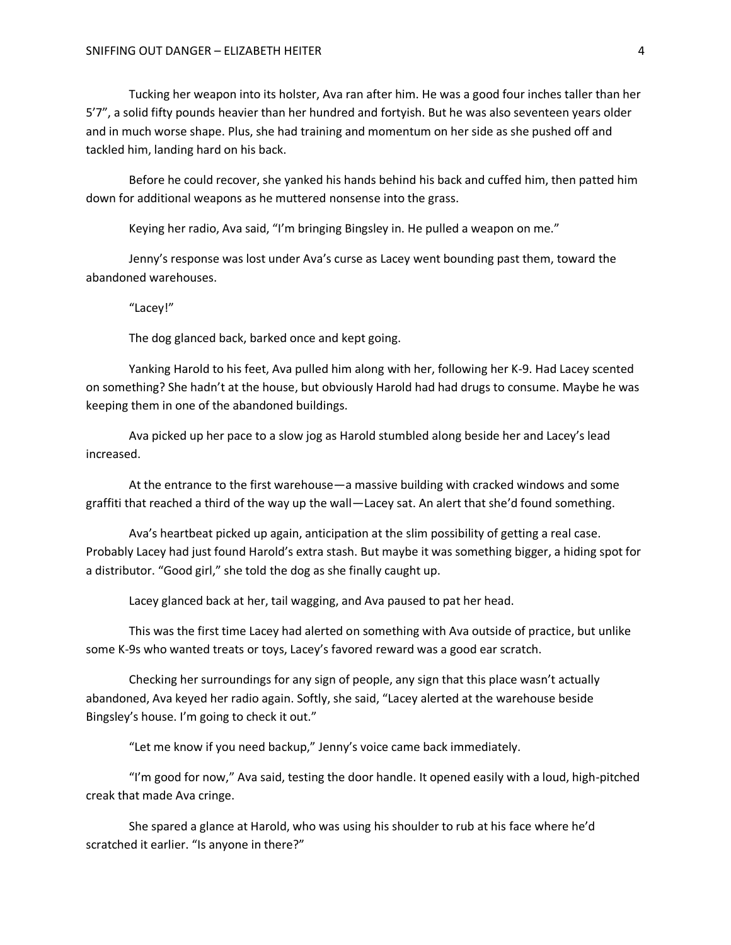Tucking her weapon into its holster, Ava ran after him. He was a good four inches taller than her 5'7", a solid fifty pounds heavier than her hundred and fortyish. But he was also seventeen years older and in much worse shape. Plus, she had training and momentum on her side as she pushed off and tackled him, landing hard on his back.

Before he could recover, she yanked his hands behind his back and cuffed him, then patted him down for additional weapons as he muttered nonsense into the grass.

Keying her radio, Ava said, "I'm bringing Bingsley in. He pulled a weapon on me."

Jenny's response was lost under Ava's curse as Lacey went bounding past them, toward the abandoned warehouses.

"Lacey!"

The dog glanced back, barked once and kept going.

Yanking Harold to his feet, Ava pulled him along with her, following her K-9. Had Lacey scented on something? She hadn't at the house, but obviously Harold had had drugs to consume. Maybe he was keeping them in one of the abandoned buildings.

Ava picked up her pace to a slow jog as Harold stumbled along beside her and Lacey's lead increased.

At the entrance to the first warehouse—a massive building with cracked windows and some graffiti that reached a third of the way up the wall—Lacey sat. An alert that she'd found something.

Ava's heartbeat picked up again, anticipation at the slim possibility of getting a real case. Probably Lacey had just found Harold's extra stash. But maybe it was something bigger, a hiding spot for a distributor. "Good girl," she told the dog as she finally caught up.

Lacey glanced back at her, tail wagging, and Ava paused to pat her head.

This was the first time Lacey had alerted on something with Ava outside of practice, but unlike some K-9s who wanted treats or toys, Lacey's favored reward was a good ear scratch.

Checking her surroundings for any sign of people, any sign that this place wasn't actually abandoned, Ava keyed her radio again. Softly, she said, "Lacey alerted at the warehouse beside Bingsley's house. I'm going to check it out."

"Let me know if you need backup," Jenny's voice came back immediately.

"I'm good for now," Ava said, testing the door handle. It opened easily with a loud, high-pitched creak that made Ava cringe.

She spared a glance at Harold, who was using his shoulder to rub at his face where he'd scratched it earlier. "Is anyone in there?"